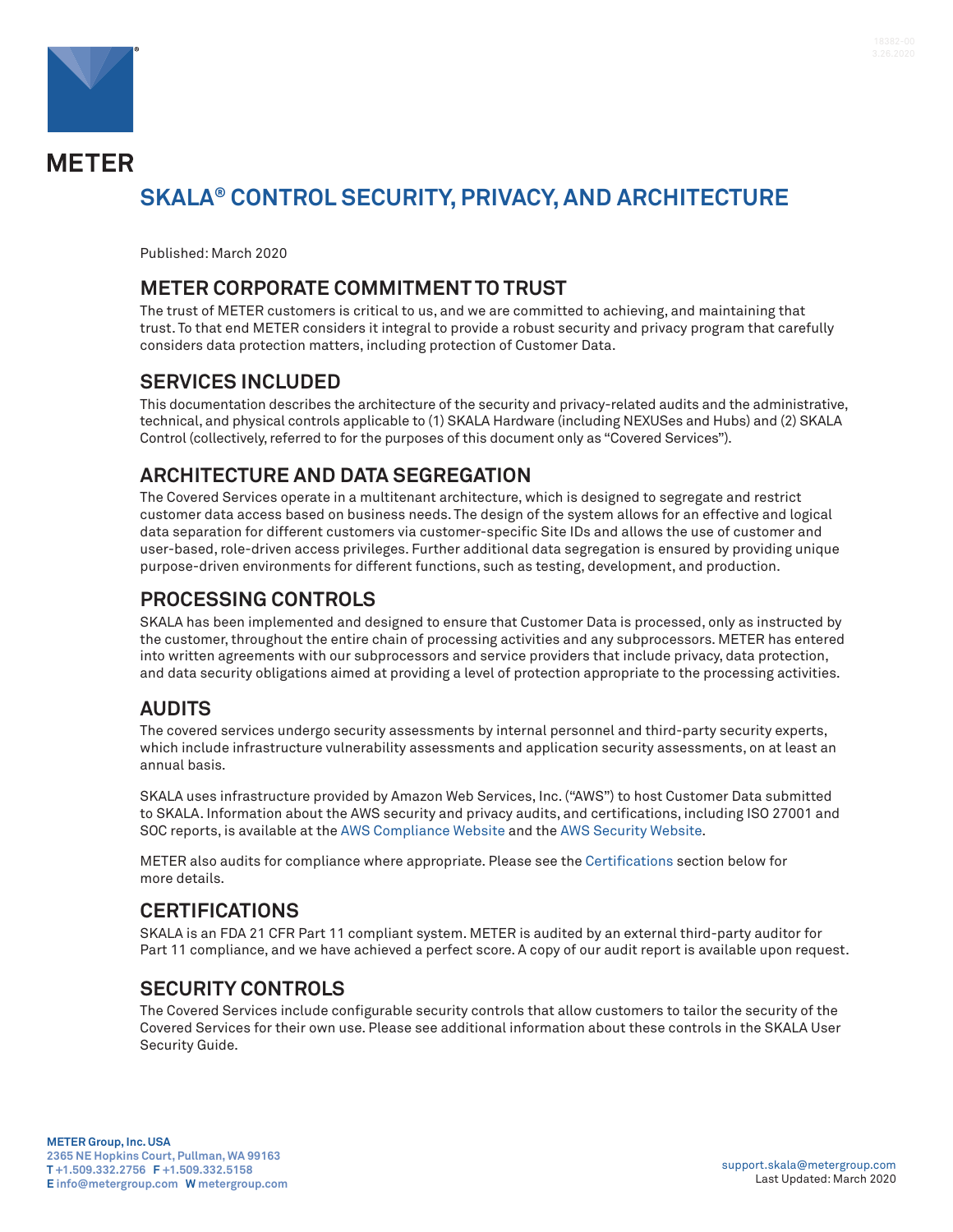

**METER** 

# **SKALA® CONTROL SECURITY, PRIVACY, AND ARCHITECTURE**

Published: March 2020

#### **METER CORPORATE COMMITMENT TO TRUST**

The trust of METER customers is critical to us, and we are committed to achieving, and maintaining that trust. To that end METER considers it integral to provide a robust security and privacy program that carefully considers data protection matters, including protection of Customer Data.

#### **SERVICES INCLUDED**

This documentation describes the architecture of the security and privacy-related audits and the administrative, technical, and physical controls applicable to (1) SKALA Hardware (including NEXUSes and Hubs) and (2) SKALA Control (collectively, referred to for the purposes of this document only as "Covered Services").

#### **ARCHITECTURE AND DATA SEGREGATION**

The Covered Services operate in a multitenant architecture, which is designed to segregate and restrict customer data access based on business needs. The design of the system allows for an effective and logical data separation for different customers via customer-specific Site IDs and allows the use of customer and user-based, role-driven access privileges. Further additional data segregation is ensured by providing unique purpose-driven environments for different functions, such as testing, development, and production.

#### **PROCESSING CONTROLS**

SKALA has been implemented and designed to ensure that Customer Data is processed, only as instructed by the customer, throughout the entire chain of processing activities and any subprocessors. METER has entered into written agreements with our subprocessors and service providers that include privacy, data protection, and data security obligations aimed at providing a level of protection appropriate to the processing activities.

#### **AUDITS**

The covered services undergo security assessments by internal personnel and third-party security experts, which include infrastructure vulnerability assessments and application security assessments, on at least an annual basis.

SKALA uses infrastructure provided by Amazon Web Services, Inc. ("AWS") to host Customer Data submitted to SKALA. Information about the AWS security and privacy audits, and certifications, including ISO 27001 and SOC reports, is available at the [AWS Compliance Website](https://aws.amazon.com/compliance/) and the [AWS Security Website](https://aws.amazon.com/security/).

METER also audits for compliance where appropriate. Please see the Certifications section below for more details.

#### **CERTIFICATIONS**

SKALA is an FDA 21 CFR Part 11 compliant system. METER is audited by an external third-party auditor for Part 11 compliance, and we have achieved a perfect score. A copy of our audit report is available upon request.

#### **SECURITY CONTROLS**

The Covered Services include configurable security controls that allow customers to tailor the security of the Covered Services for their own use. Please see additional information about these controls in the SKALA User Security Guide.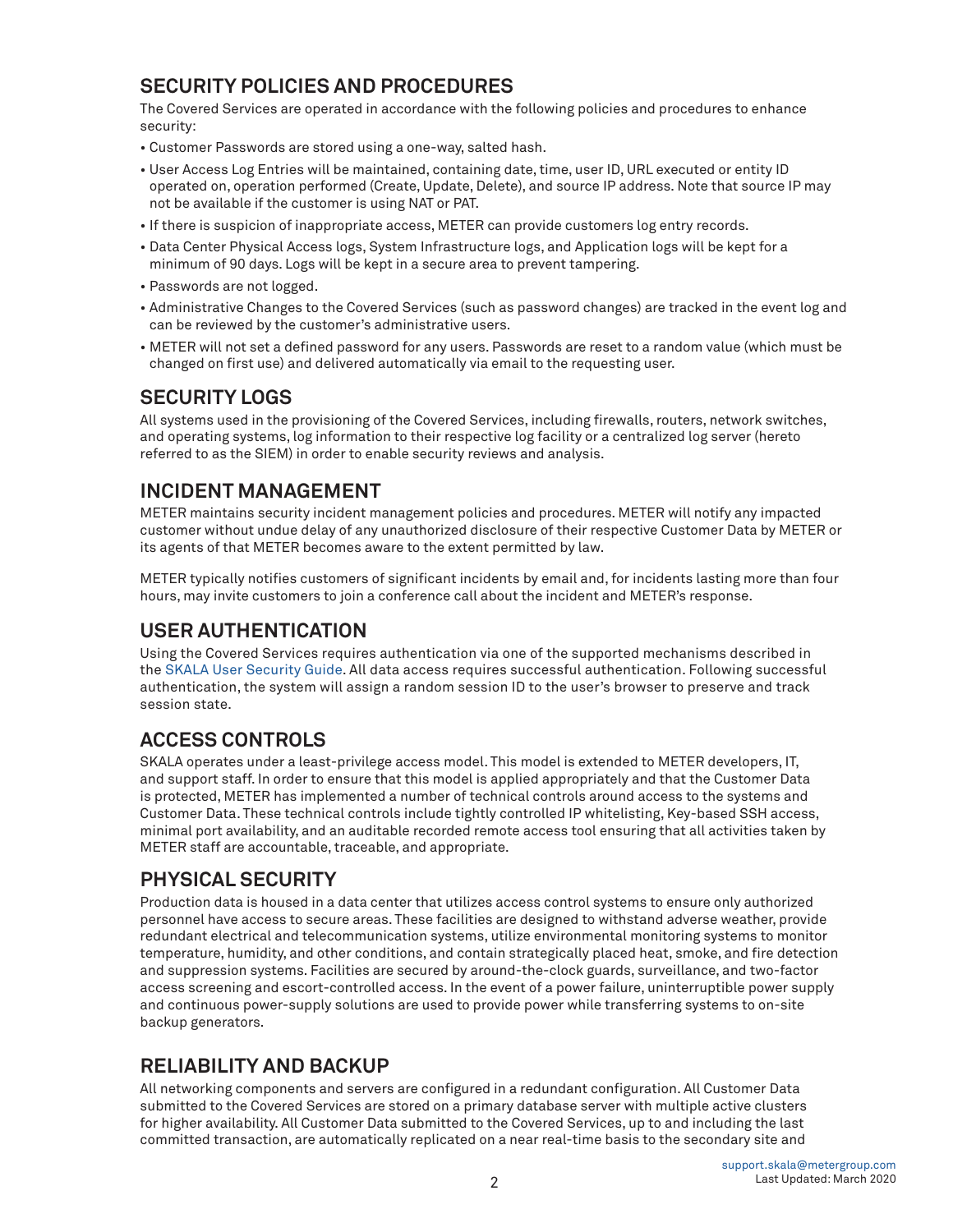# **SECURITY POLICIES AND PROCEDURES**

The Covered Services are operated in accordance with the following policies and procedures to enhance security:

- Customer Passwords are stored using a one-way, salted hash.
- User Access Log Entries will be maintained, containing date, time, user ID, URL executed or entity ID operated on, operation performed (Create, Update, Delete), and source IP address. Note that source IP may not be available if the customer is using NAT or PAT.
- If there is suspicion of inappropriate access, METER can provide customers log entry records.
- Data Center Physical Access logs, System Infrastructure logs, and Application logs will be kept for a minimum of 90 days. Logs will be kept in a secure area to prevent tampering.
- Passwords are not logged.
- Administrative Changes to the Covered Services (such as password changes) are tracked in the event log and can be reviewed by the customer's administrative users.
- METER will not set a defined password for any users. Passwords are reset to a random value (which must be changed on first use) and delivered automatically via email to the requesting user.

# **SECURITY LOGS**

All systems used in the provisioning of the Covered Services, including firewalls, routers, network switches, and operating systems, log information to their respective log facility or a centralized log server (hereto referred to as the SIEM) in order to enable security reviews and analysis.

# **INCIDENT MANAGEMENT**

METER maintains security incident management policies and procedures. METER will notify any impacted customer without undue delay of any unauthorized disclosure of their respective Customer Data by METER or its agents of that METER becomes aware to the extent permitted by law.

METER typically notifies customers of significant incidents by email and, for incidents lasting more than four hours, may invite customers to join a conference call about the incident and METER's response.

# **USER AUTHENTICATION**

Using the Covered Services requires authentication via one of the supported mechanisms described in the SKALA User Security Guide. All data access requires successful authentication. Following successful authentication, the system will assign a random session ID to the user's browser to preserve and track session state.

# **ACCESS CONTROLS**

SKALA operates under a least-privilege access model. This model is extended to METER developers, IT, and support staff. In order to ensure that this model is applied appropriately and that the Customer Data is protected, METER has implemented a number of technical controls around access to the systems and Customer Data. These technical controls include tightly controlled IP whitelisting, Key-based SSH access, minimal port availability, and an auditable recorded remote access tool ensuring that all activities taken by METER staff are accountable, traceable, and appropriate.

# **PHYSICAL SECURITY**

Production data is housed in a data center that utilizes access control systems to ensure only authorized personnel have access to secure areas. These facilities are designed to withstand adverse weather, provide redundant electrical and telecommunication systems, utilize environmental monitoring systems to monitor temperature, humidity, and other conditions, and contain strategically placed heat, smoke, and fire detection and suppression systems. Facilities are secured by around-the-clock guards, surveillance, and two-factor access screening and escort-controlled access. In the event of a power failure, uninterruptible power supply and continuous power-supply solutions are used to provide power while transferring systems to on-site backup generators.

# **RELIABILITY AND BACKUP**

All networking components and servers are configured in a redundant configuration. All Customer Data submitted to the Covered Services are stored on a primary database server with multiple active clusters for higher availability. All Customer Data submitted to the Covered Services, up to and including the last committed transaction, are automatically replicated on a near real-time basis to the secondary site and